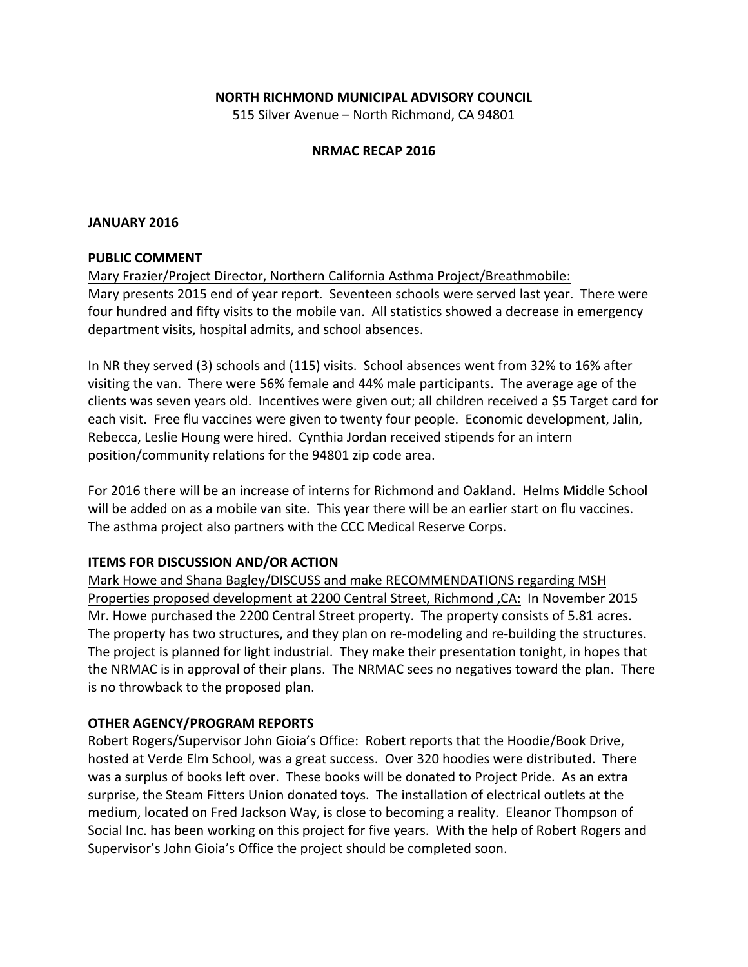### **NORTH RICHMOND MUNICIPAL ADVISORY COUNCIL**

515 Silver Avenue - North Richmond, CA 94801

### **NRMAC RECAP 2016**

#### **JANUARY 2016**

#### **PUBLIC COMMENT**

Mary Frazier/Project Director, Northern California Asthma Project/Breathmobile: Mary presents 2015 end of year report. Seventeen schools were served last year. There were four hundred and fifty visits to the mobile van. All statistics showed a decrease in emergency department visits, hospital admits, and school absences.

In NR they served (3) schools and (115) visits. School absences went from 32% to 16% after visiting the van. There were 56% female and 44% male participants. The average age of the clients was seven years old. Incentives were given out; all children received a \$5 Target card for each visit. Free flu vaccines were given to twenty four people. Economic development, Jalin, Rebecca, Leslie Houng were hired. Cynthia Jordan received stipends for an intern position/community relations for the 94801 zip code area.

For 2016 there will be an increase of interns for Richmond and Oakland. Helms Middle School will be added on as a mobile van site. This year there will be an earlier start on flu vaccines. The asthma project also partners with the CCC Medical Reserve Corps.

### **ITEMS FOR DISCUSSION AND/OR ACTION**

Mark Howe and Shana Bagley/DISCUSS and make RECOMMENDATIONS regarding MSH Properties proposed development at 2200 Central Street, Richmond, CA: In November 2015 Mr. Howe purchased the 2200 Central Street property. The property consists of 5.81 acres. The property has two structures, and they plan on re-modeling and re-building the structures. The project is planned for light industrial. They make their presentation tonight, in hopes that the NRMAC is in approval of their plans. The NRMAC sees no negatives toward the plan. There is no throwback to the proposed plan.

#### **OTHER AGENCY/PROGRAM REPORTS**

Robert Rogers/Supervisor John Gioia's Office: Robert reports that the Hoodie/Book Drive, hosted at Verde Elm School, was a great success. Over 320 hoodies were distributed. There was a surplus of books left over. These books will be donated to Project Pride. As an extra surprise, the Steam Fitters Union donated toys. The installation of electrical outlets at the medium, located on Fred Jackson Way, is close to becoming a reality. Eleanor Thompson of Social Inc. has been working on this project for five years. With the help of Robert Rogers and Supervisor's John Gioia's Office the project should be completed soon.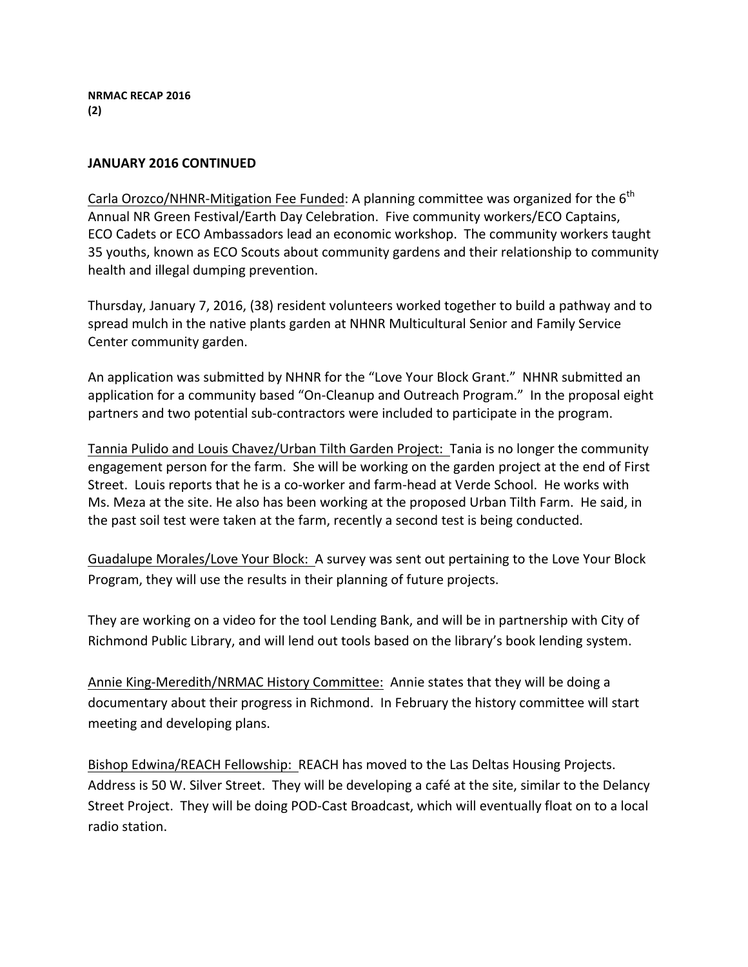**NRMAC RECAP 2016 (2)**

### **JANUARY 2016 CONTINUED**

Carla Orozco/NHNR-Mitigation Fee Funded: A planning committee was organized for the  $6<sup>th</sup>$ Annual NR Green Festival/Earth Day Celebration. Five community workers/ECO Captains, ECO Cadets or ECO Ambassadors lead an economic workshop. The community workers taught 35 youths, known as ECO Scouts about community gardens and their relationship to community health and illegal dumping prevention.

Thursday, January 7, 2016, (38) resident volunteers worked together to build a pathway and to spread mulch in the native plants garden at NHNR Multicultural Senior and Family Service Center community garden.

An application was submitted by NHNR for the "Love Your Block Grant." NHNR submitted an application for a community based "On-Cleanup and Outreach Program." In the proposal eight partners and two potential sub-contractors were included to participate in the program.

Tannia Pulido and Louis Chavez/Urban Tilth Garden Project: Tania is no longer the community engagement person for the farm. She will be working on the garden project at the end of First Street. Louis reports that he is a co-worker and farm-head at Verde School. He works with Ms. Meza at the site. He also has been working at the proposed Urban Tilth Farm. He said, in the past soil test were taken at the farm, recently a second test is being conducted.

Guadalupe Morales/Love Your Block: A survey was sent out pertaining to the Love Your Block Program, they will use the results in their planning of future projects.

They are working on a video for the tool Lending Bank, and will be in partnership with City of Richmond Public Library, and will lend out tools based on the library's book lending system.

Annie King-Meredith/NRMAC History Committee: Annie states that they will be doing a documentary about their progress in Richmond. In February the history committee will start meeting and developing plans.

Bishop Edwina/REACH Fellowship: REACH has moved to the Las Deltas Housing Projects. Address is 50 W. Silver Street. They will be developing a café at the site, similar to the Delancy Street Project. They will be doing POD-Cast Broadcast, which will eventually float on to a local radio station.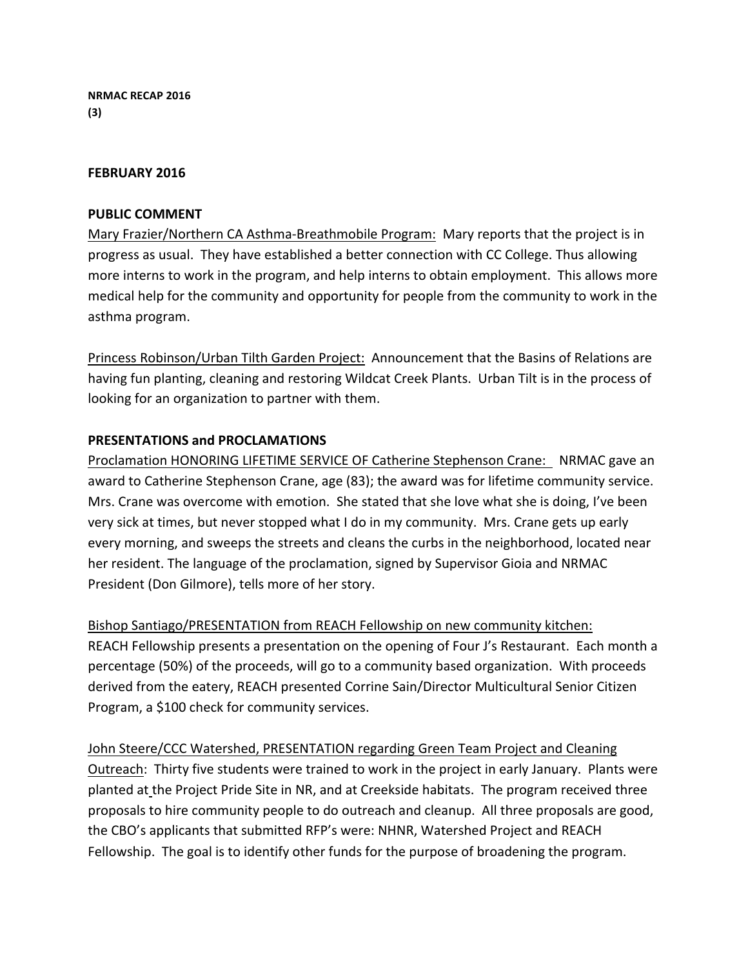### **FEBRUARY 2016**

### **PUBLIC COMMENT**

Mary Frazier/Northern CA Asthma-Breathmobile Program: Mary reports that the project is in progress as usual. They have established a better connection with CC College. Thus allowing more interns to work in the program, and help interns to obtain employment. This allows more medical help for the community and opportunity for people from the community to work in the asthma program.

Princess Robinson/Urban Tilth Garden Project: Announcement that the Basins of Relations are having fun planting, cleaning and restoring Wildcat Creek Plants. Urban Tilt is in the process of looking for an organization to partner with them.

### **PRESENTATIONS and PROCLAMATIONS**

Proclamation HONORING LIFETIME SERVICE OF Catherine Stephenson Crane: NRMAC gave an award to Catherine Stephenson Crane, age (83); the award was for lifetime community service. Mrs. Crane was overcome with emotion. She stated that she love what she is doing, I've been very sick at times, but never stopped what I do in my community. Mrs. Crane gets up early every morning, and sweeps the streets and cleans the curbs in the neighborhood, located near her resident. The language of the proclamation, signed by Supervisor Gioia and NRMAC President (Don Gilmore), tells more of her story.

Bishop Santiago/PRESENTATION from REACH Fellowship on new community kitchen: REACH Fellowship presents a presentation on the opening of Four J's Restaurant. Each month a percentage (50%) of the proceeds, will go to a community based organization. With proceeds derived from the eatery, REACH presented Corrine Sain/Director Multicultural Senior Citizen Program, a \$100 check for community services.

John Steere/CCC Watershed, PRESENTATION regarding Green Team Project and Cleaning Outreach: Thirty five students were trained to work in the project in early January. Plants were planted at the Project Pride Site in NR, and at Creekside habitats. The program received three proposals to hire community people to do outreach and cleanup. All three proposals are good, the CBO's applicants that submitted RFP's were: NHNR, Watershed Project and REACH Fellowship. The goal is to identify other funds for the purpose of broadening the program.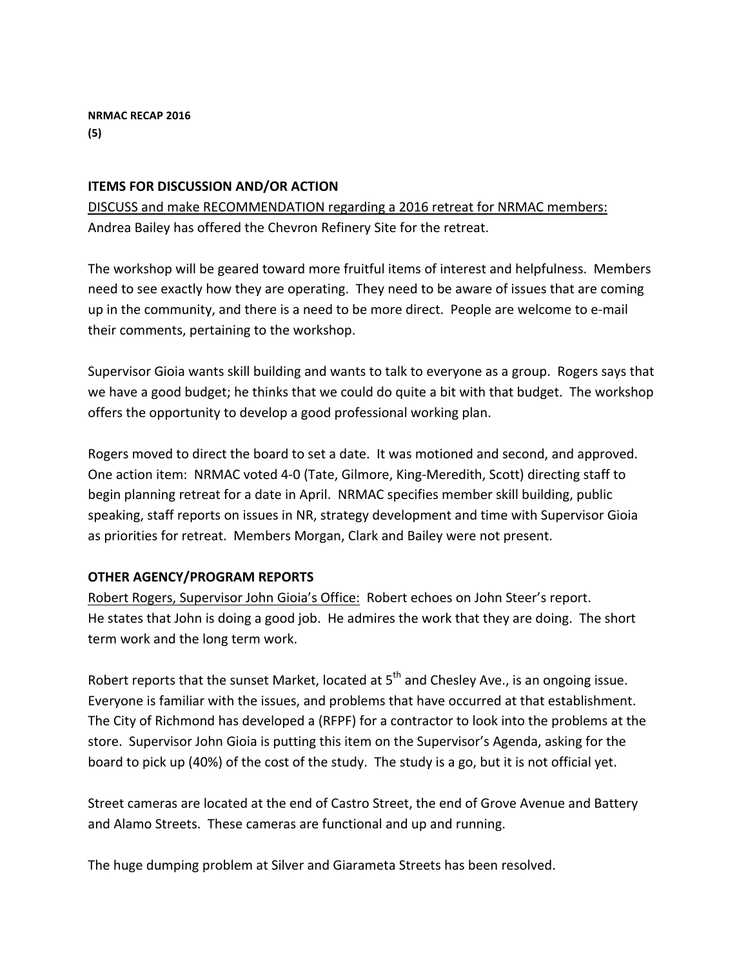# **ITEMS FOR DISCUSSION AND/OR ACTION**

DISCUSS and make RECOMMENDATION regarding a 2016 retreat for NRMAC members: Andrea Bailey has offered the Chevron Refinery Site for the retreat.

The workshop will be geared toward more fruitful items of interest and helpfulness. Members need to see exactly how they are operating. They need to be aware of issues that are coming up in the community, and there is a need to be more direct. People are welcome to e-mail their comments, pertaining to the workshop.

Supervisor Gioia wants skill building and wants to talk to everyone as a group. Rogers says that we have a good budget; he thinks that we could do quite a bit with that budget. The workshop offers the opportunity to develop a good professional working plan.

Rogers moved to direct the board to set a date. It was motioned and second, and approved. One action item: NRMAC voted 4-0 (Tate, Gilmore, King-Meredith, Scott) directing staff to begin planning retreat for a date in April. NRMAC specifies member skill building, public speaking, staff reports on issues in NR, strategy development and time with Supervisor Gioia as priorities for retreat. Members Morgan, Clark and Bailey were not present.

# **OTHER AGENCY/PROGRAM REPORTS**

Robert Rogers, Supervisor John Gioia's Office: Robert echoes on John Steer's report. He states that John is doing a good job. He admires the work that they are doing. The short term work and the long term work.

Robert reports that the sunset Market, located at  $5<sup>th</sup>$  and Chesley Ave., is an ongoing issue. Everyone is familiar with the issues, and problems that have occurred at that establishment. The City of Richmond has developed a (RFPF) for a contractor to look into the problems at the store. Supervisor John Gioia is putting this item on the Supervisor's Agenda, asking for the board to pick up (40%) of the cost of the study. The study is a go, but it is not official yet.

Street cameras are located at the end of Castro Street, the end of Grove Avenue and Battery and Alamo Streets. These cameras are functional and up and running.

The huge dumping problem at Silver and Giarameta Streets has been resolved.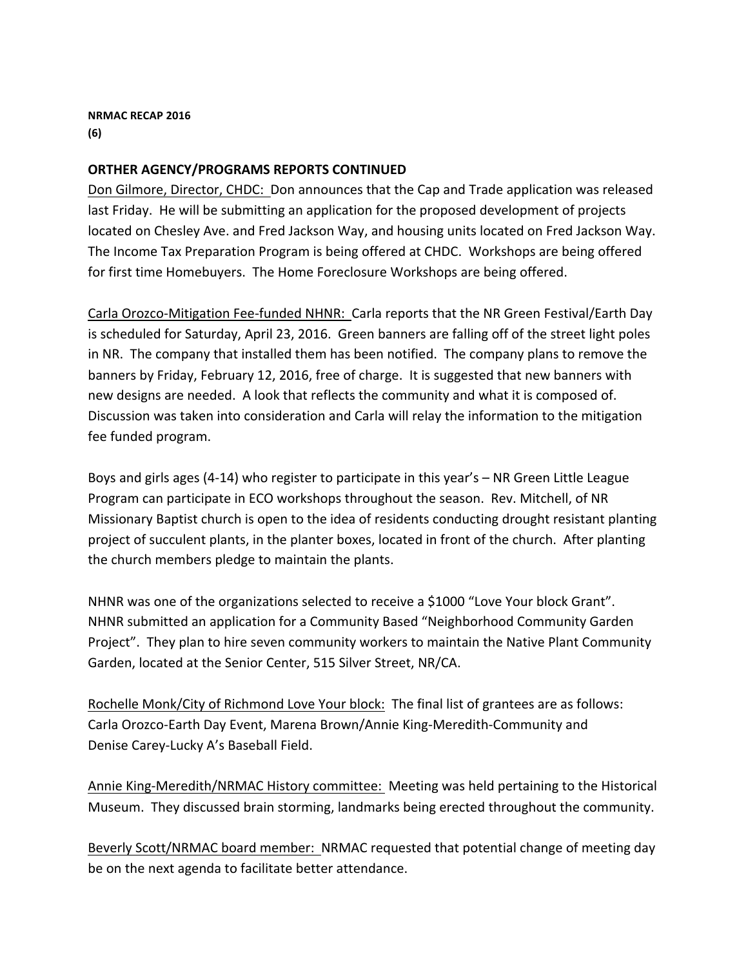**NRMAC RECAP 2016 (6)**

### **ORTHER AGENCY/PROGRAMS REPORTS CONTINUED**

Don Gilmore, Director, CHDC: Don announces that the Cap and Trade application was released last Friday. He will be submitting an application for the proposed development of projects located on Chesley Ave. and Fred Jackson Way, and housing units located on Fred Jackson Way. The Income Tax Preparation Program is being offered at CHDC. Workshops are being offered for first time Homebuyers. The Home Foreclosure Workshops are being offered.

Carla Orozco-Mitigation Fee-funded NHNR: Carla reports that the NR Green Festival/Earth Day is scheduled for Saturday, April 23, 2016. Green banners are falling off of the street light poles in NR. The company that installed them has been notified. The company plans to remove the banners by Friday, February 12, 2016, free of charge. It is suggested that new banners with new designs are needed. A look that reflects the community and what it is composed of. Discussion was taken into consideration and Carla will relay the information to the mitigation fee funded program.

Boys and girls ages  $(4-14)$  who register to participate in this year's  $-$  NR Green Little League Program can participate in ECO workshops throughout the season. Rev. Mitchell, of NR Missionary Baptist church is open to the idea of residents conducting drought resistant planting project of succulent plants, in the planter boxes, located in front of the church. After planting the church members pledge to maintain the plants.

NHNR was one of the organizations selected to receive a \$1000 "Love Your block Grant". NHNR submitted an application for a Community Based "Neighborhood Community Garden Project". They plan to hire seven community workers to maintain the Native Plant Community Garden, located at the Senior Center, 515 Silver Street, NR/CA.

Rochelle Monk/City of Richmond Love Your block: The final list of grantees are as follows: Carla Orozco-Earth Day Event, Marena Brown/Annie King-Meredith-Community and Denise Carey-Lucky A's Baseball Field.

Annie King-Meredith/NRMAC History committee: Meeting was held pertaining to the Historical Museum. They discussed brain storming, landmarks being erected throughout the community.

Beverly Scott/NRMAC board member: NRMAC requested that potential change of meeting day be on the next agenda to facilitate better attendance.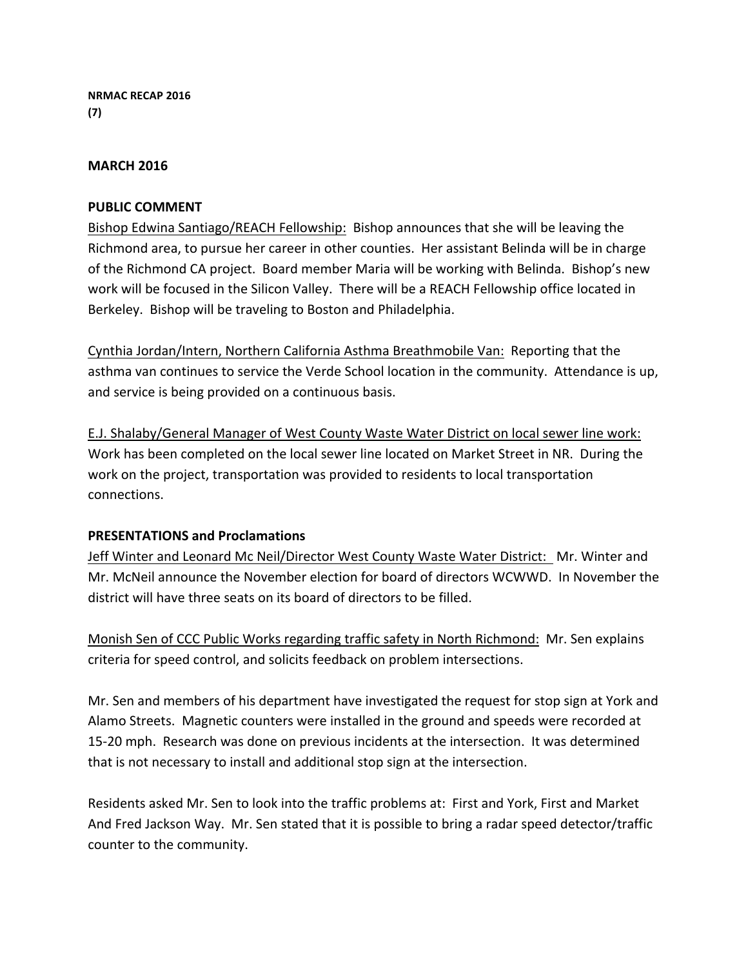**NRMAC RECAP 2016 (7)**

### **MARCH 2016**

### **PUBLIC COMMENT**

Bishop Edwina Santiago/REACH Fellowship: Bishop announces that she will be leaving the Richmond area, to pursue her career in other counties. Her assistant Belinda will be in charge of the Richmond CA project. Board member Maria will be working with Belinda. Bishop's new work will be focused in the Silicon Valley. There will be a REACH Fellowship office located in Berkeley. Bishop will be traveling to Boston and Philadelphia.

Cynthia Jordan/Intern, Northern California Asthma Breathmobile Van: Reporting that the asthma van continues to service the Verde School location in the community. Attendance is up, and service is being provided on a continuous basis.

E.J. Shalaby/General Manager of West County Waste Water District on local sewer line work: Work has been completed on the local sewer line located on Market Street in NR. During the work on the project, transportation was provided to residents to local transportation connections.

### **PRESENTATIONS and Proclamations**

Jeff Winter and Leonard Mc Neil/Director West County Waste Water District: Mr. Winter and Mr. McNeil announce the November election for board of directors WCWWD. In November the district will have three seats on its board of directors to be filled.

Monish Sen of CCC Public Works regarding traffic safety in North Richmond: Mr. Sen explains criteria for speed control, and solicits feedback on problem intersections.

Mr. Sen and members of his department have investigated the request for stop sign at York and Alamo Streets. Magnetic counters were installed in the ground and speeds were recorded at 15-20 mph. Research was done on previous incidents at the intersection. It was determined that is not necessary to install and additional stop sign at the intersection.

Residents asked Mr. Sen to look into the traffic problems at: First and York, First and Market And Fred Jackson Way. Mr. Sen stated that it is possible to bring a radar speed detector/traffic counter to the community.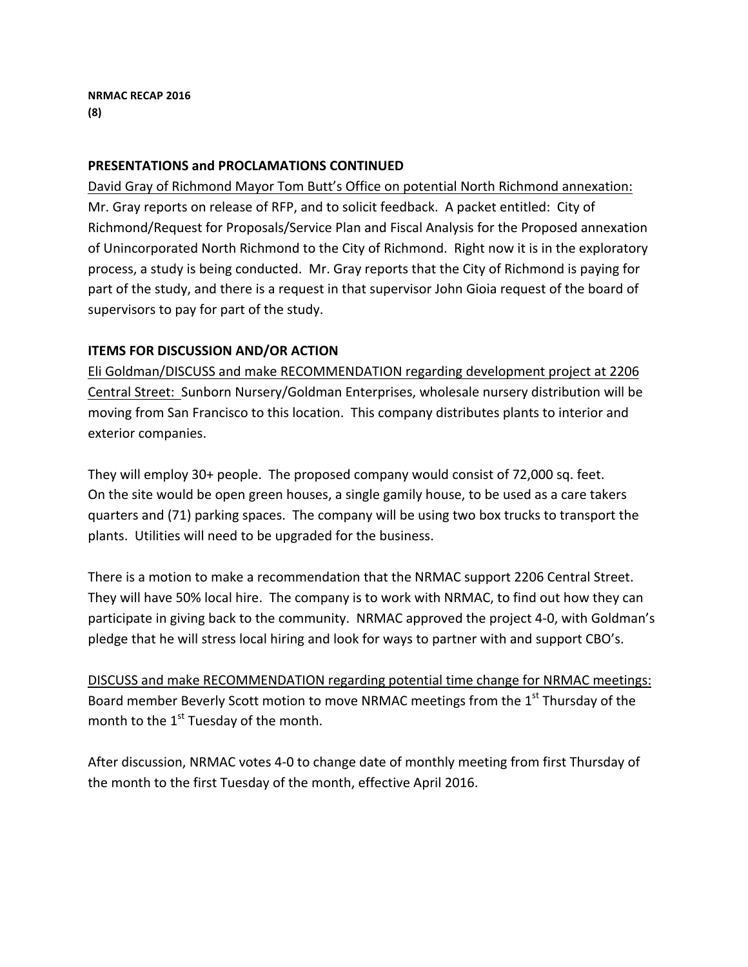**NRMAC RECAP 2016 (8)**

### **PRESENTATIONS and PROCLAMATIONS CONTINUED**

David Gray of Richmond Mayor Tom Butt's Office on potential North Richmond annexation: Mr. Gray reports on release of RFP, and to solicit feedback. A packet entitled: City of Richmond/Request for Proposals/Service Plan and Fiscal Analysis for the Proposed annexation of Unincorporated North Richmond to the City of Richmond. Right now it is in the exploratory process, a study is being conducted. Mr. Gray reports that the City of Richmond is paying for part of the study, and there is a request in that supervisor John Gioia request of the board of supervisors to pay for part of the study.

### **ITEMS FOR DISCUSSION AND/OR ACTION**

Eli Goldman/DISCUSS and make RECOMMENDATION regarding development project at 2206 Central Street: Sunborn Nursery/Goldman Enterprises, wholesale nursery distribution will be moving from San Francisco to this location. This company distributes plants to interior and exterior companies.

They will employ 30+ people. The proposed company would consist of 72,000 sq. feet. On the site would be open green houses, a single gamily house, to be used as a care takers quarters and (71) parking spaces. The company will be using two box trucks to transport the plants. Utilities will need to be upgraded for the business.

There is a motion to make a recommendation that the NRMAC support 2206 Central Street. They will have 50% local hire. The company is to work with NRMAC, to find out how they can participate in giving back to the community. NRMAC approved the project 4-0, with Goldman's pledge that he will stress local hiring and look for ways to partner with and support CBO's.

DISCUSS and make RECOMMENDATION regarding potential time change for NRMAC meetings: Board member Beverly Scott motion to move NRMAC meetings from the  $1<sup>st</sup>$  Thursday of the month to the  $1<sup>st</sup>$  Tuesday of the month.

After discussion, NRMAC votes 4-0 to change date of monthly meeting from first Thursday of the month to the first Tuesday of the month, effective April 2016.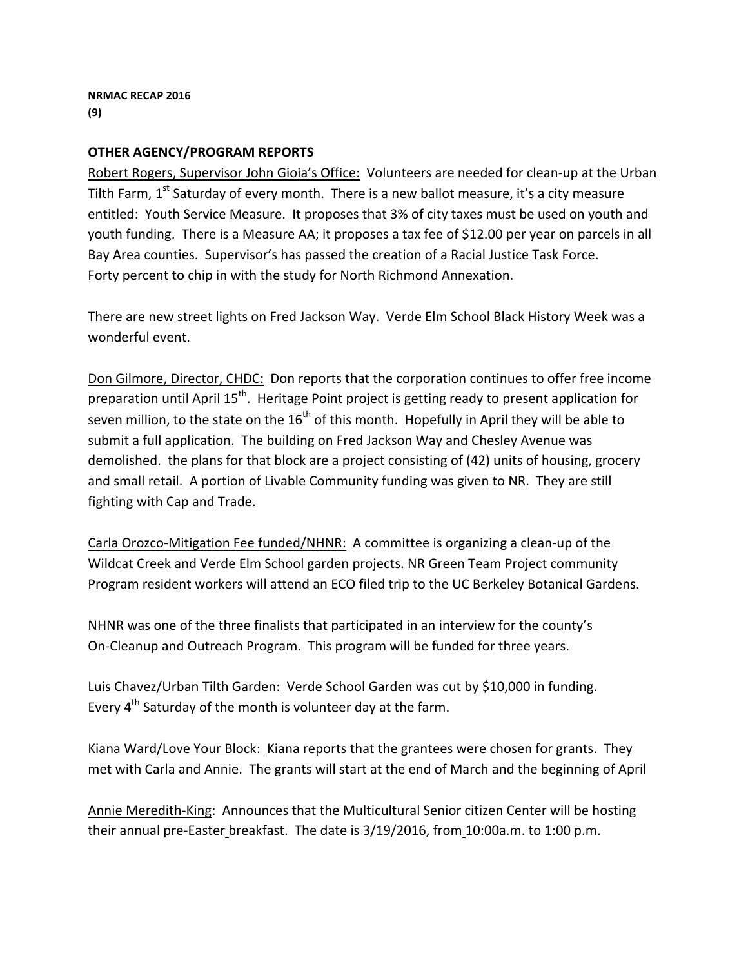## **OTHER AGENCY/PROGRAM REPORTS**

Robert Rogers, Supervisor John Gioia's Office: Volunteers are needed for clean-up at the Urban Tilth Farm,  $1^{st}$  Saturday of every month. There is a new ballot measure, it's a city measure entitled: Youth Service Measure. It proposes that 3% of city taxes must be used on youth and youth funding. There is a Measure AA; it proposes a tax fee of \$12.00 per year on parcels in all Bay Area counties. Supervisor's has passed the creation of a Racial Justice Task Force. Forty percent to chip in with the study for North Richmond Annexation.

There are new street lights on Fred Jackson Way. Verde Elm School Black History Week was a wonderful event.

Don Gilmore, Director, CHDC: Don reports that the corporation continues to offer free income preparation until April 15<sup>th</sup>. Heritage Point project is getting ready to present application for seven million, to the state on the  $16<sup>th</sup>$  of this month. Hopefully in April they will be able to submit a full application. The building on Fred Jackson Way and Chesley Avenue was demolished. the plans for that block are a project consisting of (42) units of housing, grocery and small retail. A portion of Livable Community funding was given to NR. They are still fighting with Cap and Trade.

Carla Orozco-Mitigation Fee funded/NHNR: A committee is organizing a clean-up of the Wildcat Creek and Verde Elm School garden projects. NR Green Team Project community Program resident workers will attend an ECO filed trip to the UC Berkeley Botanical Gardens.

NHNR was one of the three finalists that participated in an interview for the county's On-Cleanup and Outreach Program. This program will be funded for three years.

Luis Chavez/Urban Tilth Garden: Verde School Garden was cut by \$10,000 in funding. Every  $4^{th}$  Saturday of the month is volunteer day at the farm.

Kiana Ward/Love Your Block: Kiana reports that the grantees were chosen for grants. They met with Carla and Annie. The grants will start at the end of March and the beginning of April

Annie Meredith-King: Announces that the Multicultural Senior citizen Center will be hosting their annual pre-Easter breakfast. The date is  $3/19/2016$ , from  $10:00$ a.m. to  $1:00$  p.m.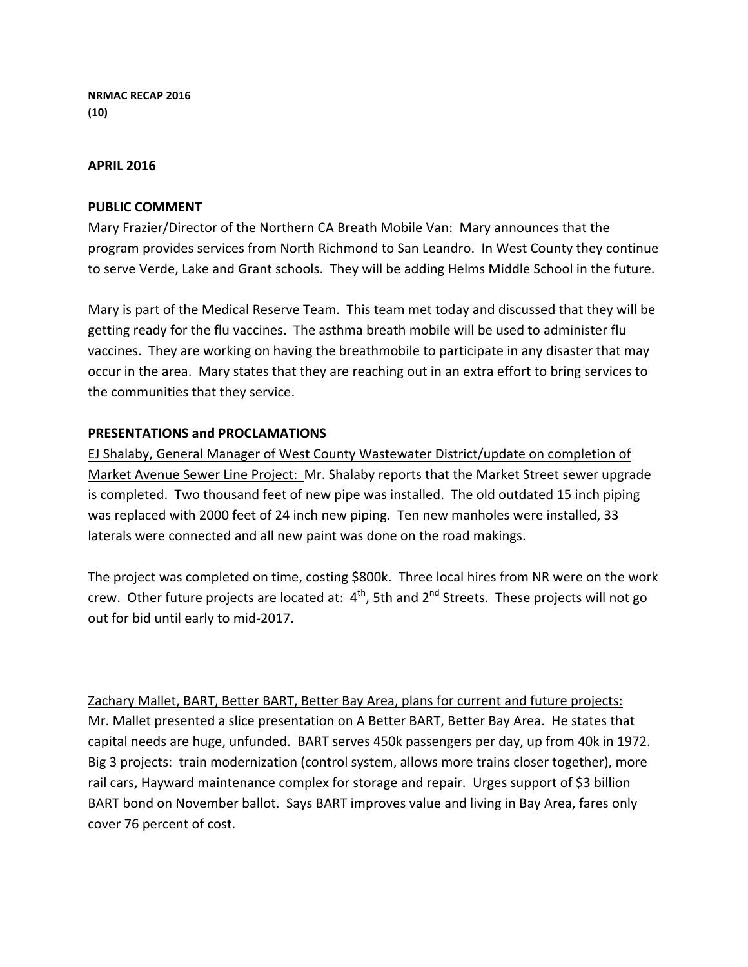**NRMAC RECAP 2016 (10)**

#### **APRIL 2016**

### **PUBLIC COMMENT**

Mary Frazier/Director of the Northern CA Breath Mobile Van: Mary announces that the program provides services from North Richmond to San Leandro. In West County they continue to serve Verde, Lake and Grant schools. They will be adding Helms Middle School in the future.

Mary is part of the Medical Reserve Team. This team met today and discussed that they will be getting ready for the flu vaccines. The asthma breath mobile will be used to administer flu vaccines. They are working on having the breathmobile to participate in any disaster that may occur in the area. Mary states that they are reaching out in an extra effort to bring services to the communities that they service.

### **PRESENTATIONS and PROCLAMATIONS**

EJ Shalaby, General Manager of West County Wastewater District/update on completion of Market Avenue Sewer Line Project: Mr. Shalaby reports that the Market Street sewer upgrade is completed. Two thousand feet of new pipe was installed. The old outdated 15 inch piping was replaced with 2000 feet of 24 inch new piping. Ten new manholes were installed, 33 laterals were connected and all new paint was done on the road makings.

The project was completed on time, costing \$800k. Three local hires from NR were on the work crew. Other future projects are located at:  $4^{th}$ , 5th and  $2^{nd}$  Streets. These projects will not go out for bid until early to mid-2017.

Zachary Mallet, BART, Better BART, Better Bay Area, plans for current and future projects: Mr. Mallet presented a slice presentation on A Better BART, Better Bay Area. He states that capital needs are huge, unfunded. BART serves 450k passengers per day, up from 40k in 1972. Big 3 projects: train modernization (control system, allows more trains closer together), more rail cars, Hayward maintenance complex for storage and repair. Urges support of \$3 billion BART bond on November ballot. Says BART improves value and living in Bay Area, fares only cover 76 percent of cost.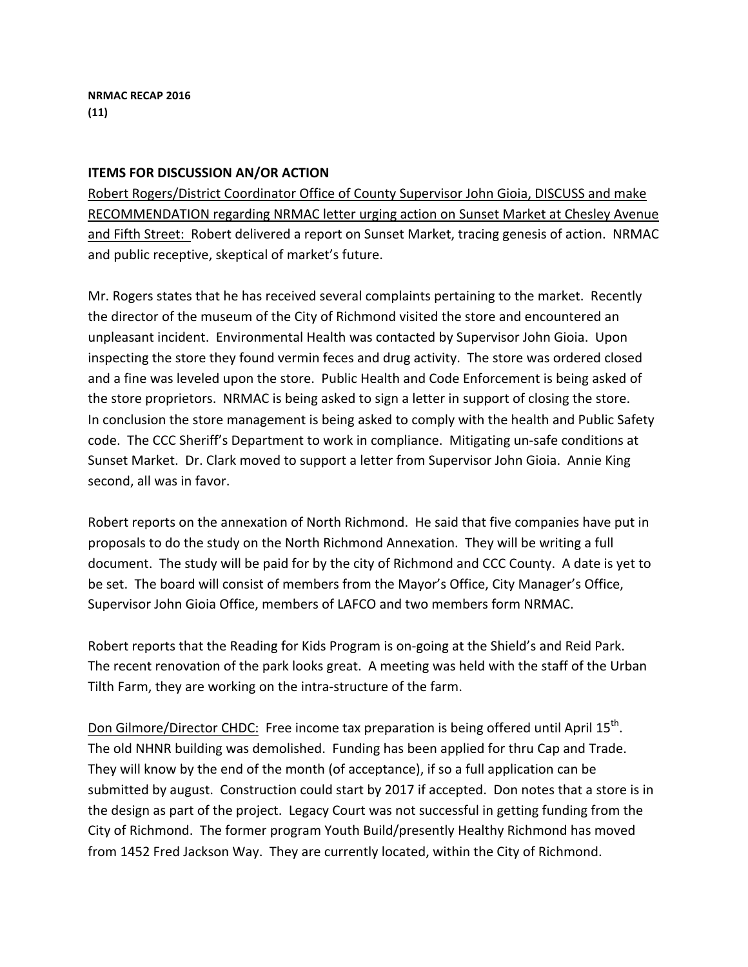### **ITEMS FOR DISCUSSION AN/OR ACTION**

Robert Rogers/District Coordinator Office of County Supervisor John Gioia, DISCUSS and make RECOMMENDATION regarding NRMAC letter urging action on Sunset Market at Chesley Avenue and Fifth Street: Robert delivered a report on Sunset Market, tracing genesis of action. NRMAC and public receptive, skeptical of market's future.

Mr. Rogers states that he has received several complaints pertaining to the market. Recently the director of the museum of the City of Richmond visited the store and encountered an unpleasant incident. Environmental Health was contacted by Supervisor John Gioia. Upon inspecting the store they found vermin feces and drug activity. The store was ordered closed and a fine was leveled upon the store. Public Health and Code Enforcement is being asked of the store proprietors. NRMAC is being asked to sign a letter in support of closing the store. In conclusion the store management is being asked to comply with the health and Public Safety code. The CCC Sheriff's Department to work in compliance. Mitigating un-safe conditions at Sunset Market. Dr. Clark moved to support a letter from Supervisor John Gioia. Annie King second, all was in favor.

Robert reports on the annexation of North Richmond. He said that five companies have put in proposals to do the study on the North Richmond Annexation. They will be writing a full document. The study will be paid for by the city of Richmond and CCC County. A date is yet to be set. The board will consist of members from the Mayor's Office, City Manager's Office, Supervisor John Gioia Office, members of LAFCO and two members form NRMAC.

Robert reports that the Reading for Kids Program is on-going at the Shield's and Reid Park. The recent renovation of the park looks great. A meeting was held with the staff of the Urban Tilth Farm, they are working on the intra-structure of the farm.

Don Gilmore/Director CHDC: Free income tax preparation is being offered until April 15<sup>th</sup>. The old NHNR building was demolished. Funding has been applied for thru Cap and Trade. They will know by the end of the month (of acceptance), if so a full application can be submitted by august. Construction could start by 2017 if accepted. Don notes that a store is in the design as part of the project. Legacy Court was not successful in getting funding from the City of Richmond. The former program Youth Build/presently Healthy Richmond has moved from 1452 Fred Jackson Way. They are currently located, within the City of Richmond.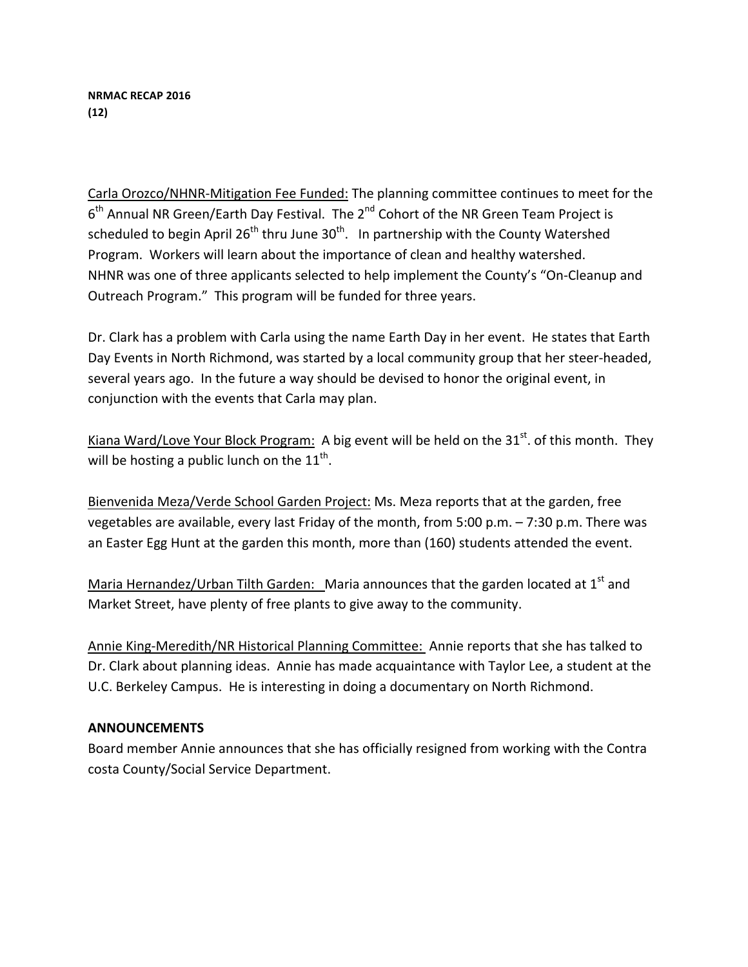Carla Orozco/NHNR-Mitigation Fee Funded: The planning committee continues to meet for the  $6<sup>th</sup>$  Annual NR Green/Earth Day Festival. The  $2<sup>nd</sup>$  Cohort of the NR Green Team Project is scheduled to begin April 26<sup>th</sup> thru June  $30<sup>th</sup>$ . In partnership with the County Watershed Program. Workers will learn about the importance of clean and healthy watershed. NHNR was one of three applicants selected to help implement the County's "On-Cleanup and Outreach Program." This program will be funded for three years.

Dr. Clark has a problem with Carla using the name Earth Day in her event. He states that Earth Day Events in North Richmond, was started by a local community group that her steer-headed, several years ago. In the future a way should be devised to honor the original event, in conjunction with the events that Carla may plan.

Kiana Ward/Love Your Block Program: A big event will be held on the  $31<sup>st</sup>$ . of this month. They will be hosting a public lunch on the  $11^{th}$ .

Bienvenida Meza/Verde School Garden Project: Ms. Meza reports that at the garden, free vegetables are available, every last Friday of the month, from 5:00 p.m.  $-7:30$  p.m. There was an Easter Egg Hunt at the garden this month, more than (160) students attended the event.

Maria Hernandez/Urban Tilth Garden: Maria announces that the garden located at  $1<sup>st</sup>$  and Market Street, have plenty of free plants to give away to the community.

Annie King-Meredith/NR Historical Planning Committee: Annie reports that she has talked to Dr. Clark about planning ideas. Annie has made acquaintance with Taylor Lee, a student at the U.C. Berkeley Campus. He is interesting in doing a documentary on North Richmond.

# **ANNOUNCEMENTS**

Board member Annie announces that she has officially resigned from working with the Contra costa County/Social Service Department.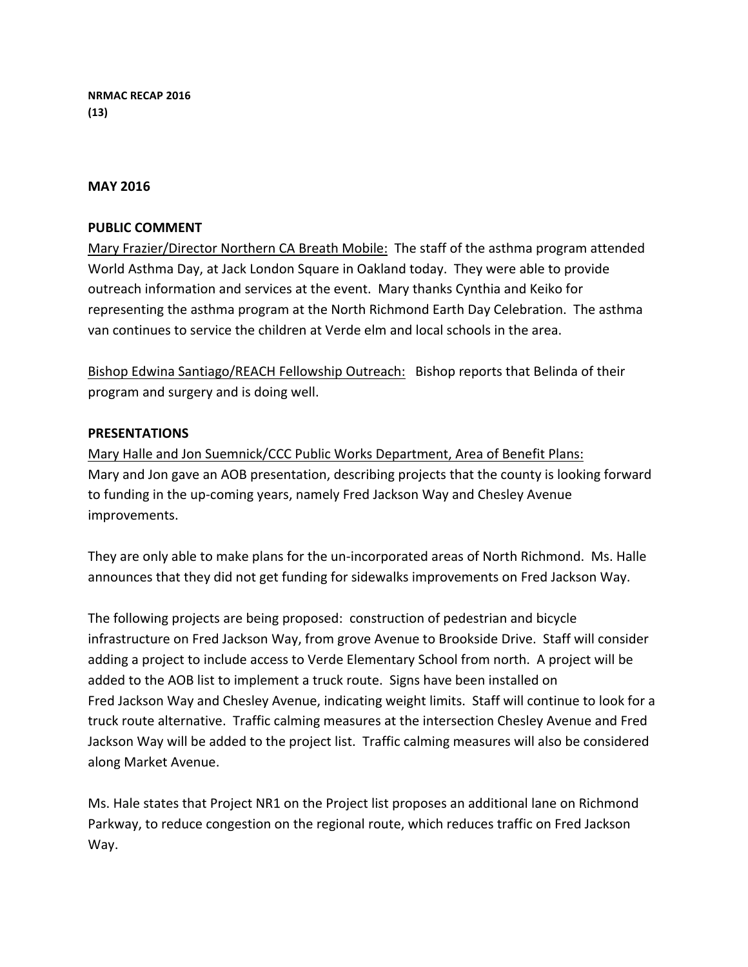**NRMAC RECAP 2016 (13)**

#### **MAY 2016**

### **PUBLIC COMMENT**

Mary Frazier/Director Northern CA Breath Mobile: The staff of the asthma program attended World Asthma Day, at Jack London Square in Oakland today. They were able to provide outreach information and services at the event. Mary thanks Cynthia and Keiko for representing the asthma program at the North Richmond Earth Day Celebration. The asthma van continues to service the children at Verde elm and local schools in the area.

Bishop Edwina Santiago/REACH Fellowship Outreach: Bishop reports that Belinda of their program and surgery and is doing well.

### **PRESENTATIONS**

Mary Halle and Jon Suemnick/CCC Public Works Department, Area of Benefit Plans: Mary and Jon gave an AOB presentation, describing projects that the county is looking forward to funding in the up-coming years, namely Fred Jackson Way and Chesley Avenue improvements. 

They are only able to make plans for the un-incorporated areas of North Richmond. Ms. Halle announces that they did not get funding for sidewalks improvements on Fred Jackson Way.

The following projects are being proposed: construction of pedestrian and bicycle infrastructure on Fred Jackson Way, from grove Avenue to Brookside Drive. Staff will consider adding a project to include access to Verde Elementary School from north. A project will be added to the AOB list to implement a truck route. Signs have been installed on Fred Jackson Way and Chesley Avenue, indicating weight limits. Staff will continue to look for a truck route alternative. Traffic calming measures at the intersection Chesley Avenue and Fred Jackson Way will be added to the project list. Traffic calming measures will also be considered along Market Avenue.

Ms. Hale states that Project NR1 on the Project list proposes an additional lane on Richmond Parkway, to reduce congestion on the regional route, which reduces traffic on Fred Jackson Way.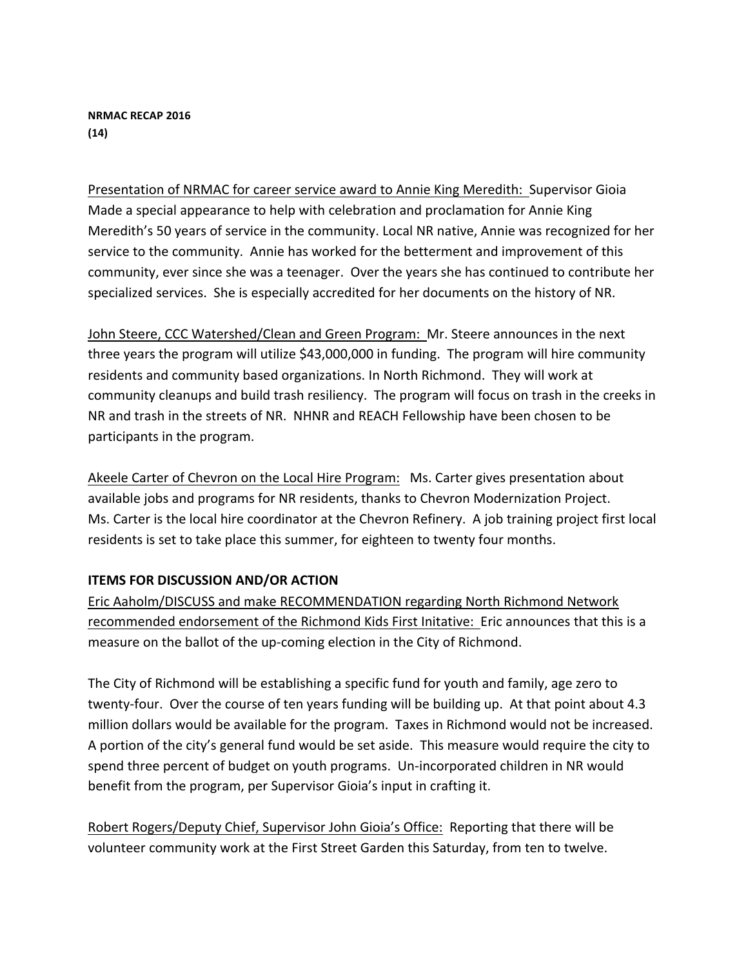### **NRMAC RECAP 2016 (14)**

Presentation of NRMAC for career service award to Annie King Meredith: Supervisor Gioia Made a special appearance to help with celebration and proclamation for Annie King Meredith's 50 years of service in the community. Local NR native, Annie was recognized for her service to the community. Annie has worked for the betterment and improvement of this community, ever since she was a teenager. Over the years she has continued to contribute her specialized services. She is especially accredited for her documents on the history of NR.

John Steere, CCC Watershed/Clean and Green Program: Mr. Steere announces in the next three years the program will utilize \$43,000,000 in funding. The program will hire community residents and community based organizations. In North Richmond. They will work at community cleanups and build trash resiliency. The program will focus on trash in the creeks in NR and trash in the streets of NR. NHNR and REACH Fellowship have been chosen to be participants in the program.

Akeele Carter of Chevron on the Local Hire Program: Ms. Carter gives presentation about available jobs and programs for NR residents, thanks to Chevron Modernization Project. Ms. Carter is the local hire coordinator at the Chevron Refinery. A job training project first local residents is set to take place this summer, for eighteen to twenty four months.

# **ITEMS FOR DISCUSSION AND/OR ACTION**

Eric Aaholm/DISCUSS and make RECOMMENDATION regarding North Richmond Network recommended endorsement of the Richmond Kids First Initative: Eric announces that this is a measure on the ballot of the up-coming election in the City of Richmond.

The City of Richmond will be establishing a specific fund for youth and family, age zero to twenty-four. Over the course of ten years funding will be building up. At that point about 4.3 million dollars would be available for the program. Taxes in Richmond would not be increased. A portion of the city's general fund would be set aside. This measure would require the city to spend three percent of budget on youth programs. Un-incorporated children in NR would benefit from the program, per Supervisor Gioia's input in crafting it.

Robert Rogers/Deputy Chief, Supervisor John Gioia's Office: Reporting that there will be volunteer community work at the First Street Garden this Saturday, from ten to twelve.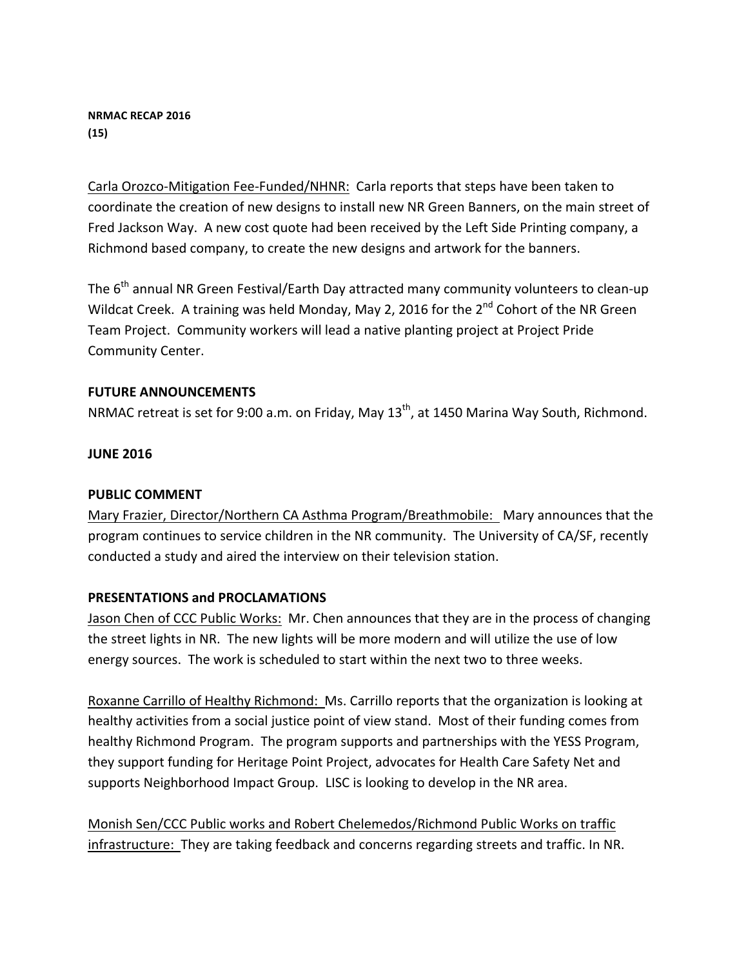### **NRMAC RECAP 2016 (15)**

Carla Orozco-Mitigation Fee-Funded/NHNR: Carla reports that steps have been taken to coordinate the creation of new designs to install new NR Green Banners, on the main street of Fred Jackson Way. A new cost quote had been received by the Left Side Printing company, a Richmond based company, to create the new designs and artwork for the banners.

The  $6<sup>th</sup>$  annual NR Green Festival/Earth Day attracted many community volunteers to clean-up Wildcat Creek. A training was held Monday, May 2, 2016 for the  $2^{nd}$  Cohort of the NR Green Team Project. Community workers will lead a native planting project at Project Pride Community Center. 

# **FUTURE ANNOUNCEMENTS**

NRMAC retreat is set for 9:00 a.m. on Friday, May 13<sup>th</sup>, at 1450 Marina Way South, Richmond.

# **JUNE 2016**

### **PUBLIC COMMENT**

Mary Frazier, Director/Northern CA Asthma Program/Breathmobile: Mary announces that the program continues to service children in the NR community. The University of CA/SF, recently conducted a study and aired the interview on their television station.

# **PRESENTATIONS and PROCLAMATIONS**

Jason Chen of CCC Public Works: Mr. Chen announces that they are in the process of changing the street lights in NR. The new lights will be more modern and will utilize the use of low energy sources. The work is scheduled to start within the next two to three weeks.

Roxanne Carrillo of Healthy Richmond: Ms. Carrillo reports that the organization is looking at healthy activities from a social justice point of view stand. Most of their funding comes from healthy Richmond Program. The program supports and partnerships with the YESS Program, they support funding for Heritage Point Project, advocates for Health Care Safety Net and supports Neighborhood Impact Group. LISC is looking to develop in the NR area.

Monish Sen/CCC Public works and Robert Chelemedos/Richmond Public Works on traffic infrastructure: They are taking feedback and concerns regarding streets and traffic. In NR.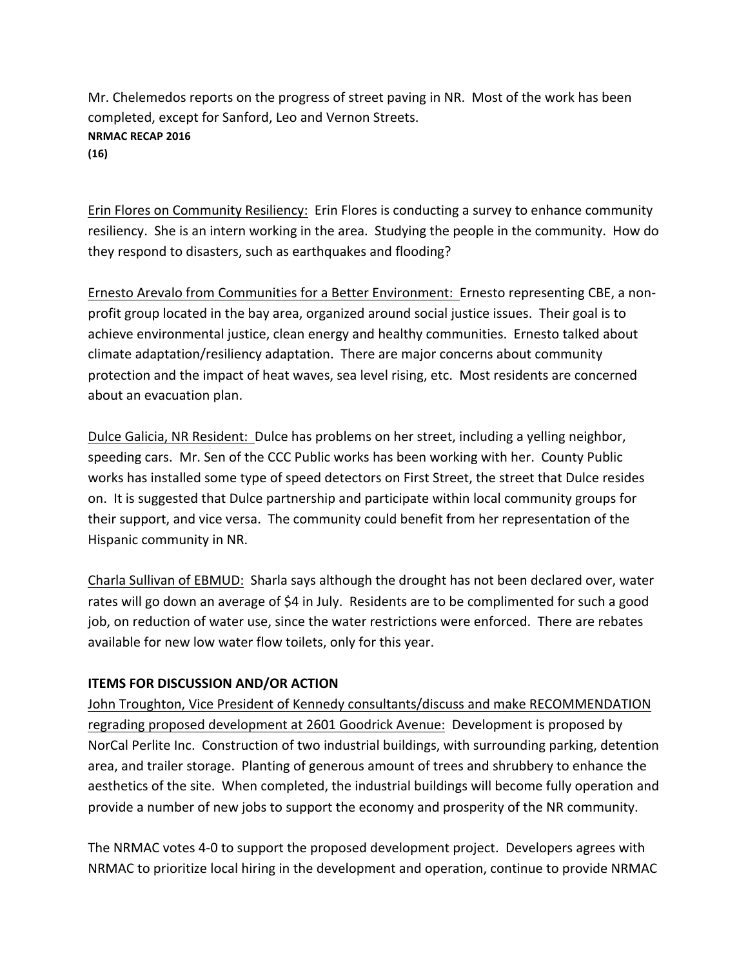Mr. Chelemedos reports on the progress of street paving in NR. Most of the work has been completed, except for Sanford, Leo and Vernon Streets. **NRMAC RECAP 2016 (16)**

Erin Flores on Community Resiliency: Erin Flores is conducting a survey to enhance community resiliency. She is an intern working in the area. Studying the people in the community. How do they respond to disasters, such as earthquakes and flooding?

Ernesto Arevalo from Communities for a Better Environment: Ernesto representing CBE, a nonprofit group located in the bay area, organized around social justice issues. Their goal is to achieve environmental justice, clean energy and healthy communities. Ernesto talked about climate adaptation/resiliency adaptation. There are major concerns about community protection and the impact of heat waves, sea level rising, etc. Most residents are concerned about an evacuation plan.

Dulce Galicia, NR Resident: Dulce has problems on her street, including a yelling neighbor, speeding cars. Mr. Sen of the CCC Public works has been working with her. County Public works has installed some type of speed detectors on First Street, the street that Dulce resides on. It is suggested that Dulce partnership and participate within local community groups for their support, and vice versa. The community could benefit from her representation of the Hispanic community in NR.

Charla Sullivan of EBMUD: Sharla says although the drought has not been declared over, water rates will go down an average of \$4 in July. Residents are to be complimented for such a good job, on reduction of water use, since the water restrictions were enforced. There are rebates available for new low water flow toilets, only for this year.

# **ITEMS FOR DISCUSSION AND/OR ACTION**

John Troughton, Vice President of Kennedy consultants/discuss and make RECOMMENDATION regrading proposed development at 2601 Goodrick Avenue: Development is proposed by NorCal Perlite Inc. Construction of two industrial buildings, with surrounding parking, detention area, and trailer storage. Planting of generous amount of trees and shrubbery to enhance the aesthetics of the site. When completed, the industrial buildings will become fully operation and provide a number of new jobs to support the economy and prosperity of the NR community.

The NRMAC votes 4-0 to support the proposed development project. Developers agrees with NRMAC to prioritize local hiring in the development and operation, continue to provide NRMAC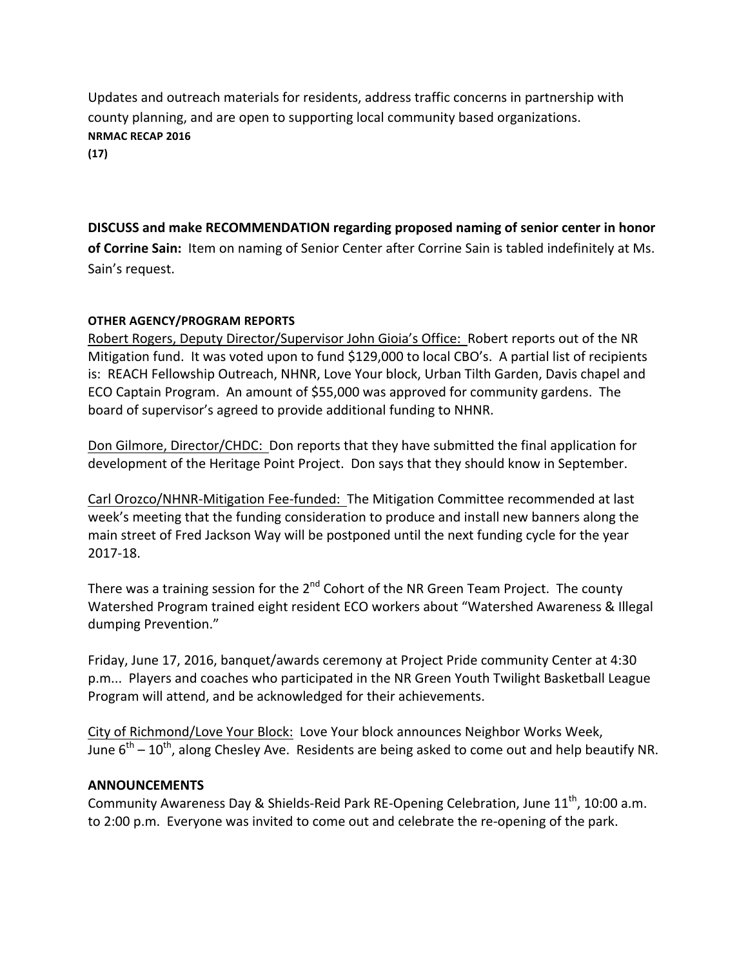Updates and outreach materials for residents, address traffic concerns in partnership with county planning, and are open to supporting local community based organizations. **NRMAC RECAP 2016 (17)**

**DISCUSS** and make RECOMMENDATION regarding proposed naming of senior center in honor of Corrine Sain: Item on naming of Senior Center after Corrine Sain is tabled indefinitely at Ms. Sain's request.

# **OTHER AGENCY/PROGRAM REPORTS**

Robert Rogers, Deputy Director/Supervisor John Gioia's Office: Robert reports out of the NR Mitigation fund. It was voted upon to fund \$129,000 to local CBO's. A partial list of recipients is: REACH Fellowship Outreach, NHNR, Love Your block, Urban Tilth Garden, Davis chapel and ECO Captain Program. An amount of \$55,000 was approved for community gardens. The board of supervisor's agreed to provide additional funding to NHNR.

Don Gilmore, Director/CHDC: Don reports that they have submitted the final application for development of the Heritage Point Project. Don says that they should know in September.

Carl Orozco/NHNR-Mitigation Fee-funded: The Mitigation Committee recommended at last week's meeting that the funding consideration to produce and install new banners along the main street of Fred Jackson Way will be postponed until the next funding cycle for the year 2017-18.

There was a training session for the  $2^{nd}$  Cohort of the NR Green Team Project. The county Watershed Program trained eight resident ECO workers about "Watershed Awareness & Illegal dumping Prevention."

Friday, June 17, 2016, banquet/awards ceremony at Project Pride community Center at 4:30 p.m... Players and coaches who participated in the NR Green Youth Twilight Basketball League Program will attend, and be acknowledged for their achievements.

City of Richmond/Love Your Block: Love Your block announces Neighbor Works Week, June  $6<sup>th</sup> - 10<sup>th</sup>$ , along Chesley Ave. Residents are being asked to come out and help beautify NR.

### **ANNOUNCEMENTS**

Community Awareness Day & Shields-Reid Park RE-Opening Celebration, June 11<sup>th</sup>, 10:00 a.m. to 2:00 p.m. Everyone was invited to come out and celebrate the re-opening of the park.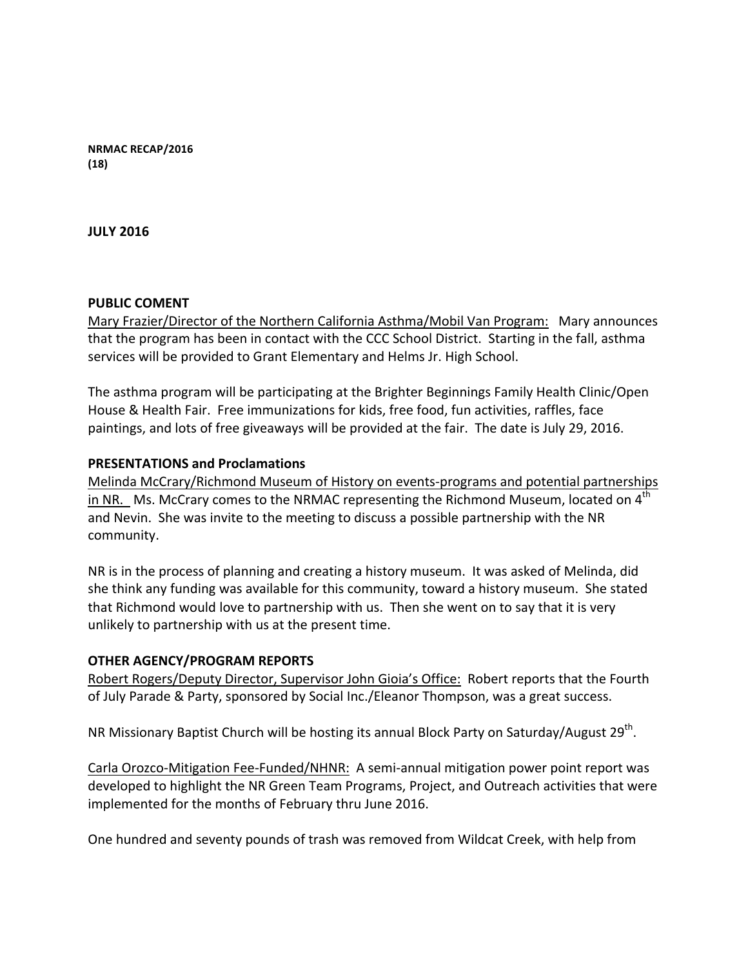**NRMAC RECAP/2016 (18)**

**JULY 2016**

### **PUBLIC COMENT**

Mary Frazier/Director of the Northern California Asthma/Mobil Van Program: Mary announces that the program has been in contact with the CCC School District. Starting in the fall, asthma services will be provided to Grant Elementary and Helms Jr. High School.

The asthma program will be participating at the Brighter Beginnings Family Health Clinic/Open House & Health Fair. Free immunizations for kids, free food, fun activities, raffles, face paintings, and lots of free giveaways will be provided at the fair. The date is July 29, 2016.

### **PRESENTATIONS and Proclamations**

Melinda McCrary/Richmond Museum of History on events-programs and potential partnerships in NR. Ms. McCrary comes to the NRMAC representing the Richmond Museum, located on  $4<sup>th</sup>$ and Nevin. She was invite to the meeting to discuss a possible partnership with the NR community.

NR is in the process of planning and creating a history museum. It was asked of Melinda, did she think any funding was available for this community, toward a history museum. She stated that Richmond would love to partnership with us. Then she went on to say that it is very unlikely to partnership with us at the present time.

### **OTHER AGENCY/PROGRAM REPORTS**

Robert Rogers/Deputy Director, Supervisor John Gioia's Office: Robert reports that the Fourth of July Parade & Party, sponsored by Social Inc./Eleanor Thompson, was a great success.

NR Missionary Baptist Church will be hosting its annual Block Party on Saturday/August 29<sup>th</sup>.

Carla Orozco-Mitigation Fee-Funded/NHNR: A semi-annual mitigation power point report was developed to highlight the NR Green Team Programs, Project, and Outreach activities that were implemented for the months of February thru June 2016.

One hundred and seventy pounds of trash was removed from Wildcat Creek, with help from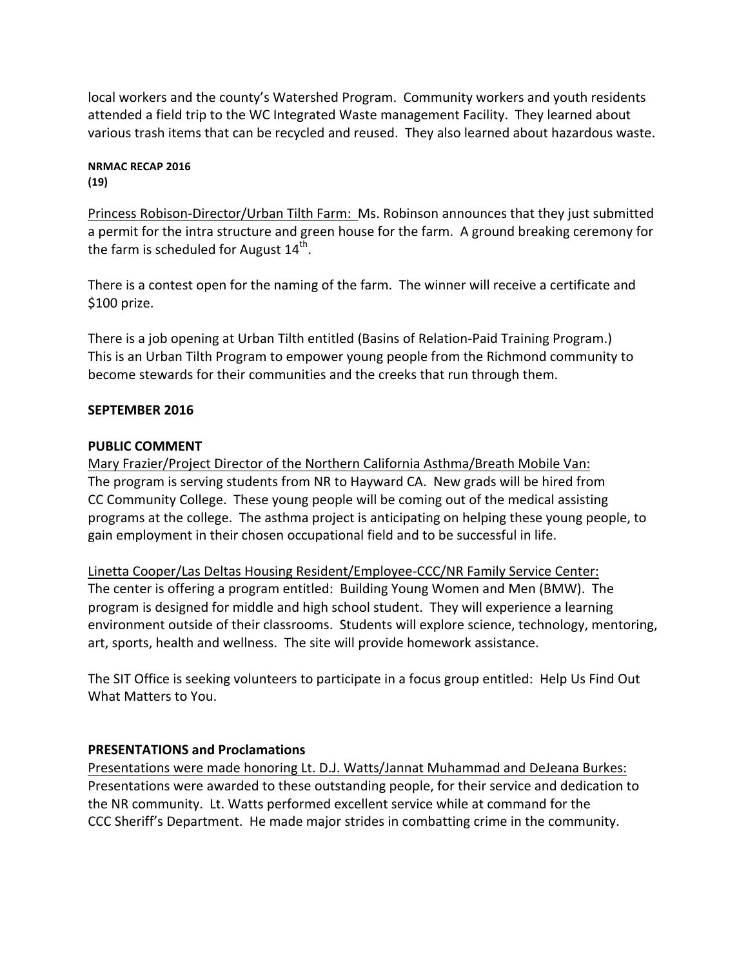local workers and the county's Watershed Program. Community workers and youth residents attended a field trip to the WC Integrated Waste management Facility. They learned about various trash items that can be recycled and reused. They also learned about hazardous waste.

#### **NRMAC RECAP 2016 (19)**

Princess Robison-Director/Urban Tilth Farm: Ms. Robinson announces that they just submitted a permit for the intra structure and green house for the farm. A ground breaking ceremony for the farm is scheduled for August  $14<sup>th</sup>$ .

There is a contest open for the naming of the farm. The winner will receive a certificate and \$100 prize.

There is a job opening at Urban Tilth entitled (Basins of Relation-Paid Training Program.) This is an Urban Tilth Program to empower young people from the Richmond community to become stewards for their communities and the creeks that run through them.

# **SEPTEMBER 2016**

# **PUBLIC COMMENT**

Mary Frazier/Project Director of the Northern California Asthma/Breath Mobile Van: The program is serving students from NR to Hayward CA. New grads will be hired from CC Community College. These young people will be coming out of the medical assisting programs at the college. The asthma project is anticipating on helping these young people, to gain employment in their chosen occupational field and to be successful in life.

Linetta Cooper/Las Deltas Housing Resident/Employee-CCC/NR Family Service Center: The center is offering a program entitled: Building Young Women and Men (BMW). The program is designed for middle and high school student. They will experience a learning environment outside of their classrooms. Students will explore science, technology, mentoring, art, sports, health and wellness. The site will provide homework assistance.

The SIT Office is seeking volunteers to participate in a focus group entitled: Help Us Find Out What Matters to You.

# **PRESENTATIONS and Proclamations**

Presentations were made honoring Lt. D.J. Watts/Jannat Muhammad and DeJeana Burkes: Presentations were awarded to these outstanding people, for their service and dedication to the NR community. Lt. Watts performed excellent service while at command for the CCC Sheriff's Department. He made major strides in combatting crime in the community.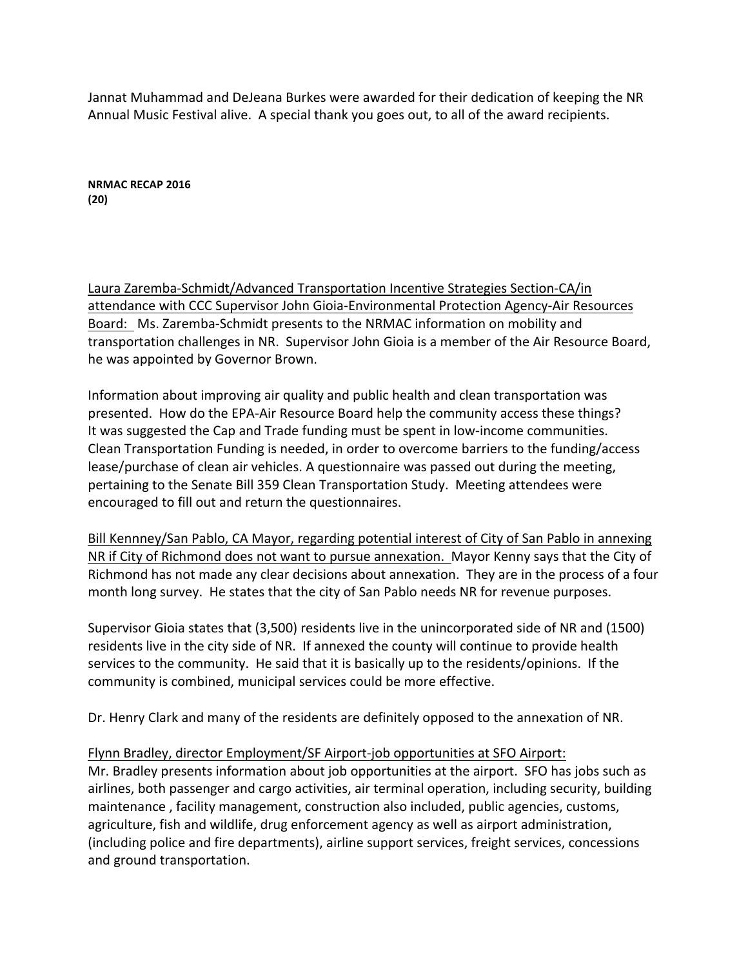Jannat Muhammad and DeJeana Burkes were awarded for their dedication of keeping the NR Annual Music Festival alive. A special thank you goes out, to all of the award recipients.

**NRMAC RECAP 2016 (20)**

Laura Zaremba-Schmidt/Advanced Transportation Incentive Strategies Section-CA/in attendance with CCC Supervisor John Gioia-Environmental Protection Agency-Air Resources Board: Ms. Zaremba-Schmidt presents to the NRMAC information on mobility and transportation challenges in NR. Supervisor John Gioia is a member of the Air Resource Board, he was appointed by Governor Brown.

Information about improving air quality and public health and clean transportation was presented. How do the EPA-Air Resource Board help the community access these things? It was suggested the Cap and Trade funding must be spent in low-income communities. Clean Transportation Funding is needed, in order to overcome barriers to the funding/access lease/purchase of clean air vehicles. A questionnaire was passed out during the meeting, pertaining to the Senate Bill 359 Clean Transportation Study. Meeting attendees were encouraged to fill out and return the questionnaires.

Bill Kennney/San Pablo, CA Mayor, regarding potential interest of City of San Pablo in annexing NR if City of Richmond does not want to pursue annexation. Mayor Kenny says that the City of Richmond has not made any clear decisions about annexation. They are in the process of a four month long survey. He states that the city of San Pablo needs NR for revenue purposes.

Supervisor Gioia states that (3,500) residents live in the unincorporated side of NR and (1500) residents live in the city side of NR. If annexed the county will continue to provide health services to the community. He said that it is basically up to the residents/opinions. If the community is combined, municipal services could be more effective.

Dr. Henry Clark and many of the residents are definitely opposed to the annexation of NR.

### Flynn Bradley, director Employment/SF Airport-job opportunities at SFO Airport:

Mr. Bradley presents information about job opportunities at the airport. SFO has jobs such as airlines, both passenger and cargo activities, air terminal operation, including security, building maintenance, facility management, construction also included, public agencies, customs, agriculture, fish and wildlife, drug enforcement agency as well as airport administration, (including police and fire departments), airline support services, freight services, concessions and ground transportation.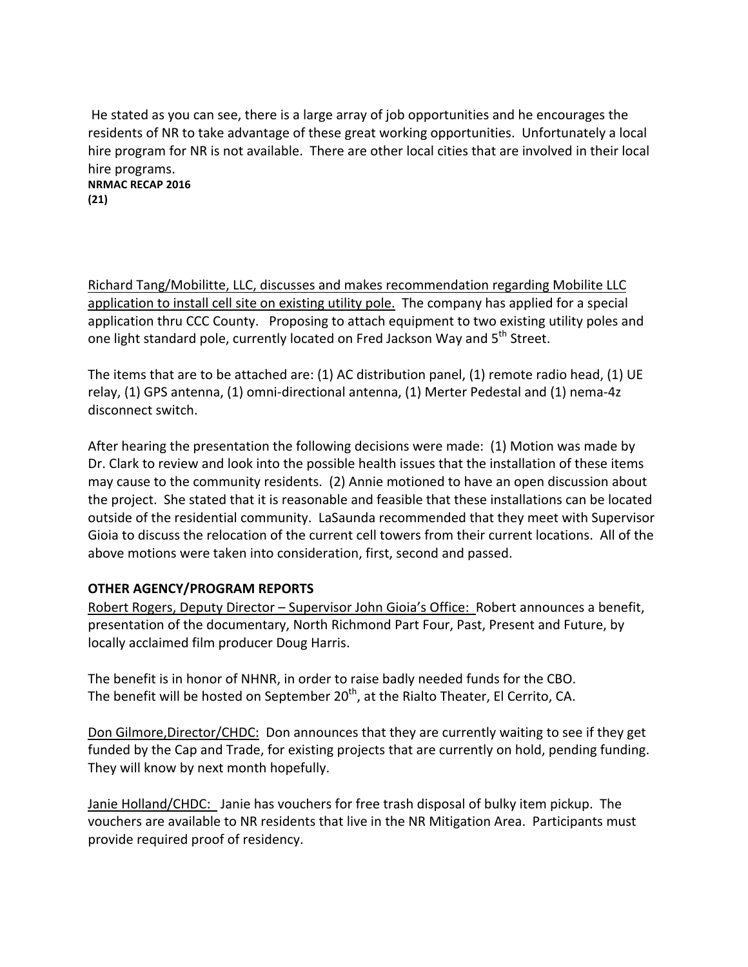He stated as you can see, there is a large array of job opportunities and he encourages the residents of NR to take advantage of these great working opportunities. Unfortunately a local hire program for NR is not available. There are other local cities that are involved in their local hire programs. **NRMAC RECAP 2016**

**(21)**

Richard Tang/Mobilitte, LLC, discusses and makes recommendation regarding Mobilite LLC application to install cell site on existing utility pole. The company has applied for a special application thru CCC County. Proposing to attach equipment to two existing utility poles and one light standard pole, currently located on Fred Jackson Way and 5<sup>th</sup> Street.

The items that are to be attached are: (1) AC distribution panel, (1) remote radio head, (1) UE relay, (1) GPS antenna, (1) omni-directional antenna, (1) Merter Pedestal and (1) nema-4z disconnect switch.

After hearing the presentation the following decisions were made:  $(1)$  Motion was made by Dr. Clark to review and look into the possible health issues that the installation of these items may cause to the community residents. (2) Annie motioned to have an open discussion about the project. She stated that it is reasonable and feasible that these installations can be located outside of the residential community. LaSaunda recommended that they meet with Supervisor Gioia to discuss the relocation of the current cell towers from their current locations. All of the above motions were taken into consideration, first, second and passed.

# **OTHER AGENCY/PROGRAM REPORTS**

Robert Rogers, Deputy Director – Supervisor John Gioia's Office: Robert announces a benefit, presentation of the documentary, North Richmond Part Four, Past, Present and Future, by locally acclaimed film producer Doug Harris.

The benefit is in honor of NHNR, in order to raise badly needed funds for the CBO. The benefit will be hosted on September  $20<sup>th</sup>$ , at the Rialto Theater, El Cerrito, CA.

Don Gilmore, Director/CHDC: Don announces that they are currently waiting to see if they get funded by the Cap and Trade, for existing projects that are currently on hold, pending funding. They will know by next month hopefully.

Janie Holland/CHDC: Janie has vouchers for free trash disposal of bulky item pickup. The vouchers are available to NR residents that live in the NR Mitigation Area. Participants must provide required proof of residency.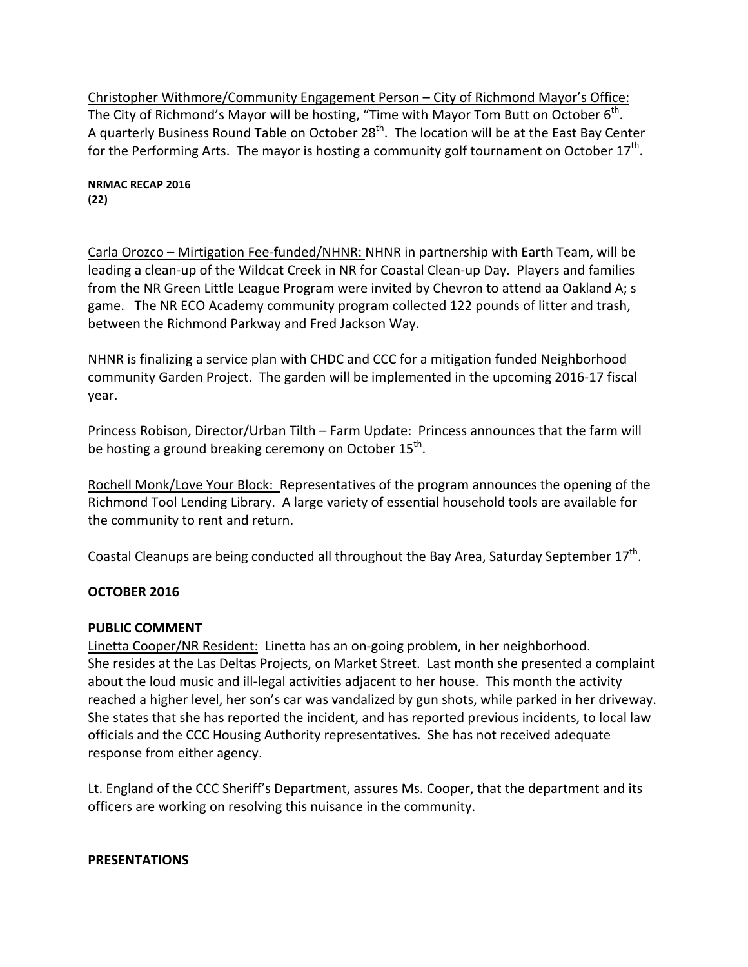Christopher Withmore/Community Engagement Person – City of Richmond Mayor's Office: The City of Richmond's Mayor will be hosting, "Time with Mayor Tom Butt on October  $6^{th}$ . A quarterly Business Round Table on October  $28<sup>th</sup>$ . The location will be at the East Bay Center for the Performing Arts. The mayor is hosting a community golf tournament on October  $17^{th}$ .

**NRMAC RECAP 2016 (22)**

Carla Orozco - Mirtigation Fee-funded/NHNR: NHNR in partnership with Earth Team, will be leading a clean-up of the Wildcat Creek in NR for Coastal Clean-up Day. Players and families from the NR Green Little League Program were invited by Chevron to attend aa Oakland A; s game. The NR ECO Academy community program collected 122 pounds of litter and trash, between the Richmond Parkway and Fred Jackson Way.

NHNR is finalizing a service plan with CHDC and CCC for a mitigation funded Neighborhood community Garden Project. The garden will be implemented in the upcoming 2016-17 fiscal year. 

Princess Robison, Director/Urban Tilth – Farm Update: Princess announces that the farm will be hosting a ground breaking ceremony on October  $15<sup>th</sup>$ .

Rochell Monk/Love Your Block: Representatives of the program announces the opening of the Richmond Tool Lending Library. A large variety of essential household tools are available for the community to rent and return.

Coastal Cleanups are being conducted all throughout the Bay Area, Saturday September  $17^{th}$ .

# **OCTOBER 2016**

### **PUBLIC COMMENT**

Linetta Cooper/NR Resident: Linetta has an on-going problem, in her neighborhood. She resides at the Las Deltas Projects, on Market Street. Last month she presented a complaint about the loud music and ill-legal activities adjacent to her house. This month the activity reached a higher level, her son's car was vandalized by gun shots, while parked in her driveway. She states that she has reported the incident, and has reported previous incidents, to local law officials and the CCC Housing Authority representatives. She has not received adequate response from either agency.

Lt. England of the CCC Sheriff's Department, assures Ms. Cooper, that the department and its officers are working on resolving this nuisance in the community.

### **PRESENTATIONS**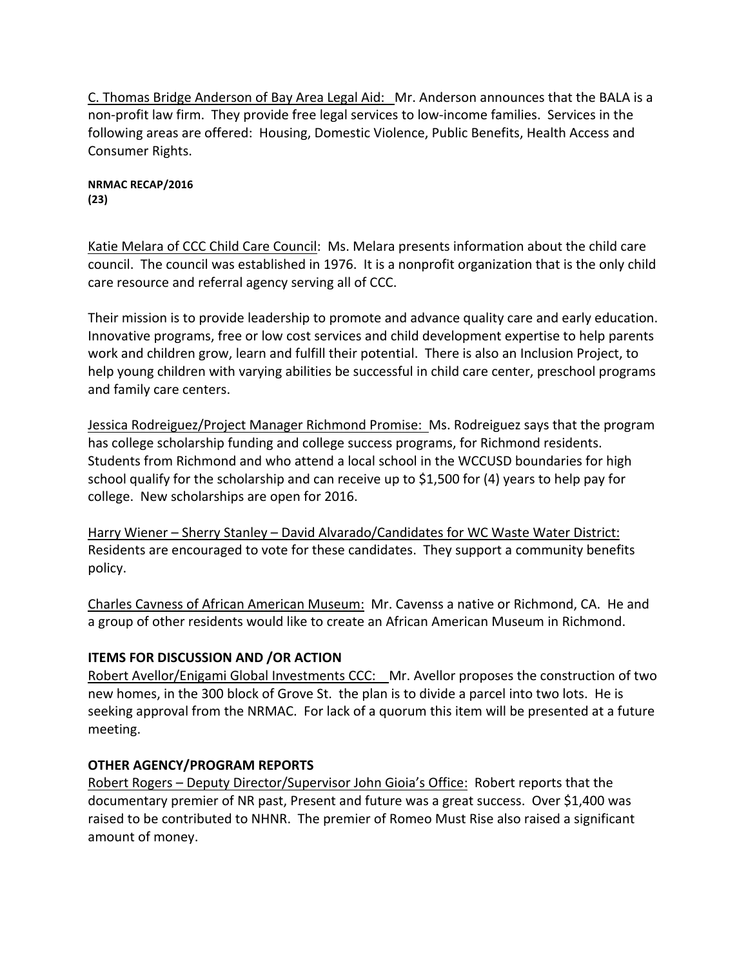C. Thomas Bridge Anderson of Bay Area Legal Aid: Mr. Anderson announces that the BALA is a non-profit law firm. They provide free legal services to low-income families. Services in the following areas are offered: Housing, Domestic Violence, Public Benefits, Health Access and Consumer Rights.

**NRMAC RECAP/2016 (23)**

Katie Melara of CCC Child Care Council: Ms. Melara presents information about the child care council. The council was established in 1976. It is a nonprofit organization that is the only child care resource and referral agency serving all of CCC.

Their mission is to provide leadership to promote and advance quality care and early education. Innovative programs, free or low cost services and child development expertise to help parents work and children grow, learn and fulfill their potential. There is also an Inclusion Project, to help young children with varying abilities be successful in child care center, preschool programs and family care centers.

Jessica Rodreiguez/Project Manager Richmond Promise: Ms. Rodreiguez says that the program has college scholarship funding and college success programs, for Richmond residents. Students from Richmond and who attend a local school in the WCCUSD boundaries for high school qualify for the scholarship and can receive up to \$1,500 for  $(4)$  years to help pay for college. New scholarships are open for 2016.

Harry Wiener - Sherry Stanley - David Alvarado/Candidates for WC Waste Water District: Residents are encouraged to vote for these candidates. They support a community benefits policy.

Charles Cavness of African American Museum: Mr. Cavenss a native or Richmond, CA. He and a group of other residents would like to create an African American Museum in Richmond.

# **ITEMS FOR DISCUSSION AND /OR ACTION**

Robert Avellor/Enigami Global Investments CCC: Mr. Avellor proposes the construction of two new homes, in the 300 block of Grove St. the plan is to divide a parcel into two lots. He is seeking approval from the NRMAC. For lack of a quorum this item will be presented at a future meeting. 

# **OTHER AGENCY/PROGRAM REPORTS**

Robert Rogers – Deputy Director/Supervisor John Gioia's Office: Robert reports that the documentary premier of NR past, Present and future was a great success. Over \$1,400 was raised to be contributed to NHNR. The premier of Romeo Must Rise also raised a significant amount of money.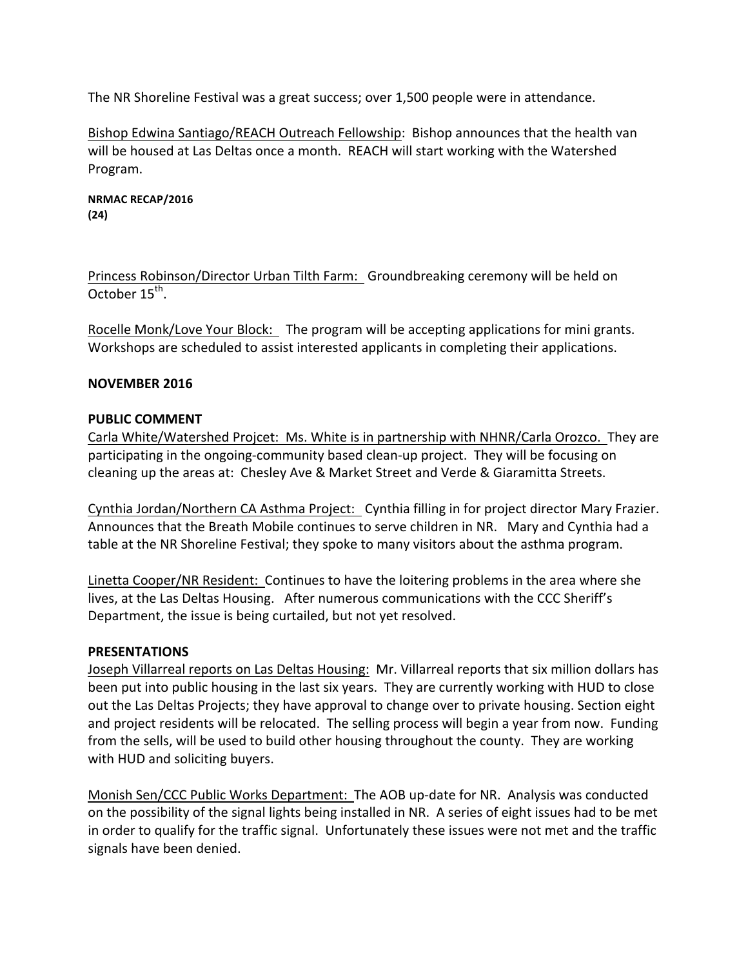The NR Shoreline Festival was a great success; over 1,500 people were in attendance.

Bishop Edwina Santiago/REACH Outreach Fellowship: Bishop announces that the health van will be housed at Las Deltas once a month. REACH will start working with the Watershed Program.

**NRMAC RECAP/2016 (24)**

Princess Robinson/Director Urban Tilth Farm: Groundbreaking ceremony will be held on October  $15^{th}$ .

Rocelle Monk/Love Your Block: The program will be accepting applications for mini grants. Workshops are scheduled to assist interested applicants in completing their applications.

# **NOVEMBER 2016**

### **PUBLIC COMMENT**

Carla White/Watershed Projcet: Ms. White is in partnership with NHNR/Carla Orozco. They are participating in the ongoing-community based clean-up project. They will be focusing on cleaning up the areas at: Chesley Ave & Market Street and Verde & Giaramitta Streets.

Cynthia Jordan/Northern CA Asthma Project: Cynthia filling in for project director Mary Frazier. Announces that the Breath Mobile continues to serve children in NR. Mary and Cynthia had a table at the NR Shoreline Festival; they spoke to many visitors about the asthma program.

Linetta Cooper/NR Resident: Continues to have the loitering problems in the area where she lives, at the Las Deltas Housing. After numerous communications with the CCC Sheriff's Department, the issue is being curtailed, but not yet resolved.

### **PRESENTATIONS**

Joseph Villarreal reports on Las Deltas Housing: Mr. Villarreal reports that six million dollars has been put into public housing in the last six years. They are currently working with HUD to close out the Las Deltas Projects; they have approval to change over to private housing. Section eight and project residents will be relocated. The selling process will begin a year from now. Funding from the sells, will be used to build other housing throughout the county. They are working with HUD and soliciting buyers.

Monish Sen/CCC Public Works Department: The AOB up-date for NR. Analysis was conducted on the possibility of the signal lights being installed in NR. A series of eight issues had to be met in order to qualify for the traffic signal. Unfortunately these issues were not met and the traffic signals have been denied.